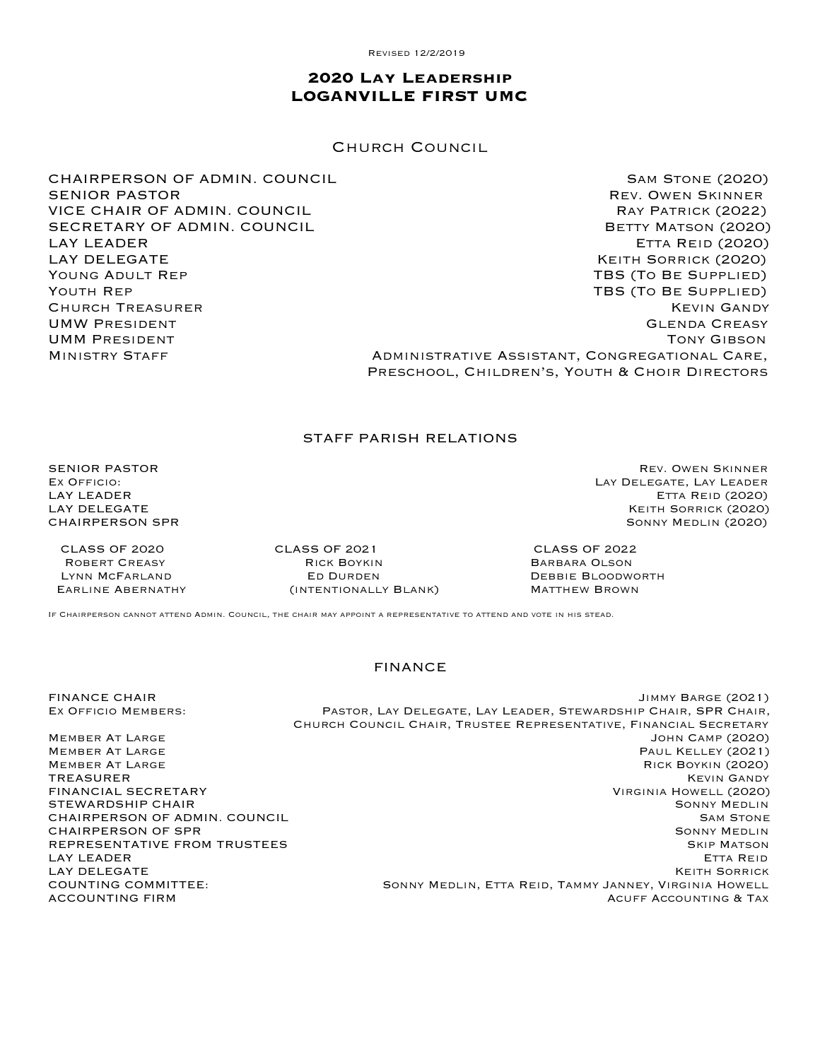Revised 12/2/2019

# **2020 Lay Leadership LOGANVILLE FIRST UMC**

Church Council

CHAIRPERSON OF ADMIN. COUNCIL **SAM STONE (2020)** SAM STONE (2020)

SENIOR PASTOR **REV. OWEN SKINNER** VICE CHAIR OF ADMIN. COUNCIL **RAY PATRICK (2022)** RAY PATRICK (2022) SECRETARY OF ADMIN. COUNCIL **Example 2018 12:30 ADMIN**. COUNCIL LAY LEADER Etta Reid (2020) LAY DELEGATE THE RESERVE OF THE SOLUTION OF THE SORRICK (2020) Young Adult Rep TBS (To Be Supplied) YOUTH REP THE REP TO BE SUPPLIED) Church Treasurer Kevin Gandy UMW PRESIDENT **GLENDA CREASY** UMM PRESIDENT TONY GIBSON MINISTRY STAFF **ADMINISTRATIVE ASSISTANT, CONGREGATIONAL CARE**, Preschool, Children's, Youth & Choir Directors

### STAFF PARISH RELATIONS

SENIOR PASTOR **Rev. OWEN SKINNER** REV. OWEN SKINNER

 CLASS OF 2020 CLASS OF 2021 CLASS OF 2022 ROBERT CREASY **RICK BOYKIN** BARBARA OLSON CONTRIGUES IN RESERVENTING BARBARA OLSON Earline Abernathy (intentionally Blank) Matthew Brown

Ex Officio: Lay Delegate, Lay Leader **ETTA REID (2020)** LAY DELEGATE Keith Sorrick (2020) CHAIRPERSON SPR SONNY MEDLIN (2020)

DEBBIE BLOODWORTH

If Chairperson cannot attend Admin. Council, the chair may appoint a representative to attend and vote in his stead.

#### FINANCE

FINANCE CHAIR Jimmy Barge (2021)

REPRESENTATIVE FROM TRUSTEES

EX OFFICIO MEMBERS: PASTOR, LAY DELEGATE, LAY LEADER, STEWARDSHIP CHAIR, SPR CHAIR, Church Council Chair, Trustee Representative, Financial Secretary Member At Large John Camp (2020) MEMBER AT LARGE THE SERVICE OF THE SERVICE OF THE SERVICE OF THE PAUL KELLEY (2021)<br>MEMBER AT LARGE THE SERVICE OF THE SERVICE OF THE SERVICE OF THE RICK ROYKIN (2020) RICK BOYKIN (2020) TREASURER KEVIN GANDY FINANCIAL SECRETARY Virginia Howell (2020) STEWARDSHIP CHAIR NAME AND SONNY MEDLIN CHAIRPERSON OF ADMIN. COUNCIL SAM STONE SAM STONE CHAIRPERSON OF SPR<br>REPRESENTATIVE FROM TRUSTEES NATIONAL SONNY MEDLIN SONNY MEDLIN LAY LEADER ETTA REID GERALD CONTROL CONTROL CONTROL CONTROL CONTROL CONTROL CONTROL CONTROL CONTROL CONTROL CONTROL CONTROL CONTROL CONTROL CONTROL CONTROL CONTROL CONTROL CONTROL CONTROL CONTROL CONTROL CONTROL CONTROL CO EXTE THE SORRICK LAY DELEGATE THE SORRICK<br>COUNTING COMMITTEE: TANNY MEDLIN, ETTA REID, TAMMY JANNEY, VIRGINIA HOWELL SONNY MEDLIN, ETTA REID, TAMMY JANNEY, VIRGINIA HOWELL ACCOUNTING FIRM ACUFF ACCOUNTING & TAX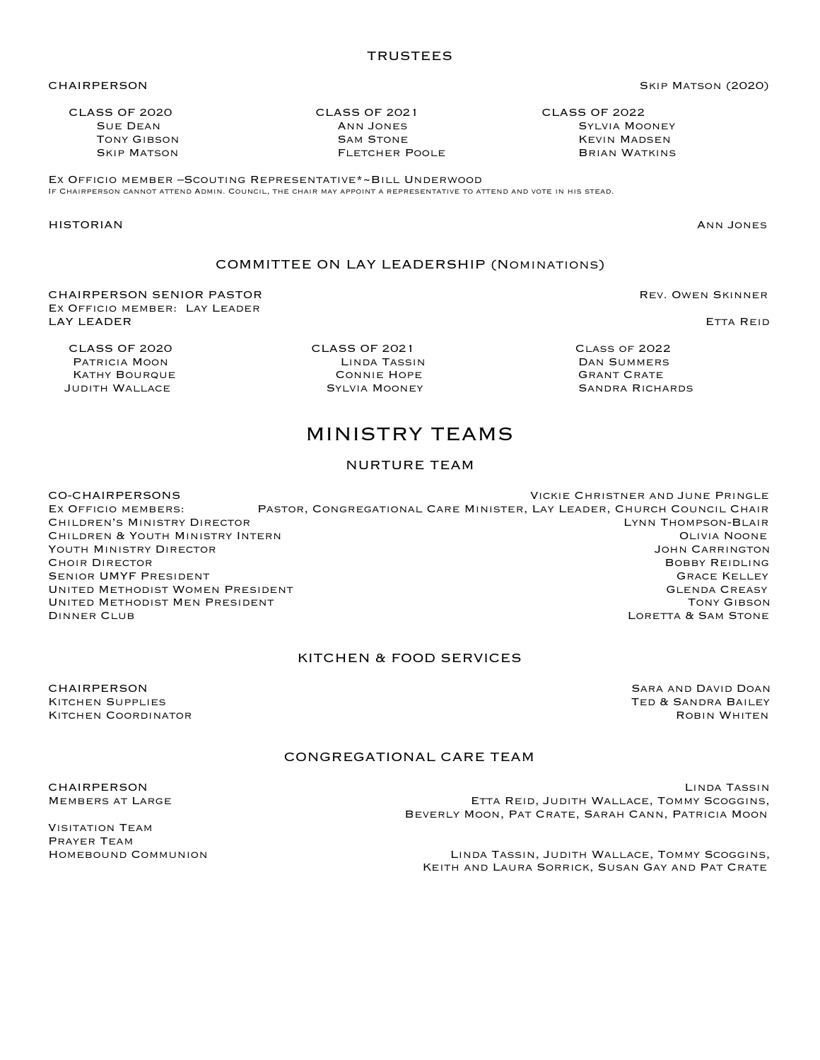CLASS OF 2020 CLASS OF 2021 CLASS OF 2022 SUE DEAN **ANN JONES** SUE DEAN **SYLVIA MOONEY TONY GIBSON SAM STONE SAM STONE SAM STONE REVIN MADSEN** Skip Matson Fletcher Poole Brian Watkins

Ex Officio member –Scouting Representative\*~Bill Underwood If Chairperson cannot attend Admin. Council, the chair may appoint a representative to attend and vote in his stead.

CHAIRPERSON Skip Matson (2020)

# COMMITTEE ON LAY LEADERSHIP (Nominations)

CHAIRPERSON SENIOR PASTOR Rev. Owen Skinner Ex Officio member: Lay Leader LAY LEADER ETTA REID GERALD CONTROL CONTROL CONTROL CONTROL CONTROL CONTROL CONTROL CONTROL CONTROL CONTROL CONTROL CONTROL CONTROL CONTROL CONTROL CONTROL CONTROL CONTROL CONTROL CONTROL CONTROL CONTROL CONTROL CONTROL CO

KATHY BOURQUE

JUDITH WALLACE **SYLVIA MOONEY** SANDRA RICHARDS

# MINISTRY TEAMS

# NURTURE TEAM

CO-CHAIRPERSONS Vickie Christner and June Pringle Ex Officio members: Pastor, Congregational Care Minister, Lay Leader, Church Council Chair Children's Ministry Director Lynn Thompson-Blair Children & Youth Ministry Intern Olivia Noone YOUTH MINISTRY DIRECTOR **CHOIR DIRECTOR BOBBY REIDLING** SENIOR UMYF PRESIDENT GRACE AND THE GRACE ASSESSED FOR A SENIOR OF A SENIOR OF A SENIOR OF A SENIOR OF A SENIOR OF A SENIOR OF A SENIOR OF A SENIOR OF A SENIOR OF A SENIOR OF A SENIOR OF A SENIOR OF A SENIOR OF A SENIOR OF UNITED METHODIST WOMEN PRESIDENT GALL CONTROL CONTROLLER CONTROLLER GLENDA CREASY UNITED METHODIST MEN PRESIDENT<br>DINNER CLUB CONSTANTING TONY GIBSON LORETTA & SAM STONE

# KITCHEN & FOOD SERVICES

**CHAIRPERSON** SARA AND DOAN SARA AND DOAN SARA AND DOAN KITCHEN SUPPLIES<br>KITCHEN COORDINATOR TED & SANDRA BAILEY KITCHEN COORDINATOR

# CONGREGATIONAL CARE TEAM

Visitation Team Prayer Team

**CHAIRPERSON** LINDA TASSIN MEMBERS AT LARGE **Ethiopia Reig, Alternative Etta Reid, Judith Wallace, Tommy Scoggins,** Beverly Moon, Pat Crate, Sarah Cann, Patricia Moon

Homebound Communion Linda Tassin, Judith Wallace, Tommy Scoggins, Keith and Laura Sorrick, Susan Gay and Pat Crate

 CLASS OF 2020 CLASS OF 2021 Class of 2022 Patricia Moon Linda Tassin Dan Summers

HISTORIAN Ann Jones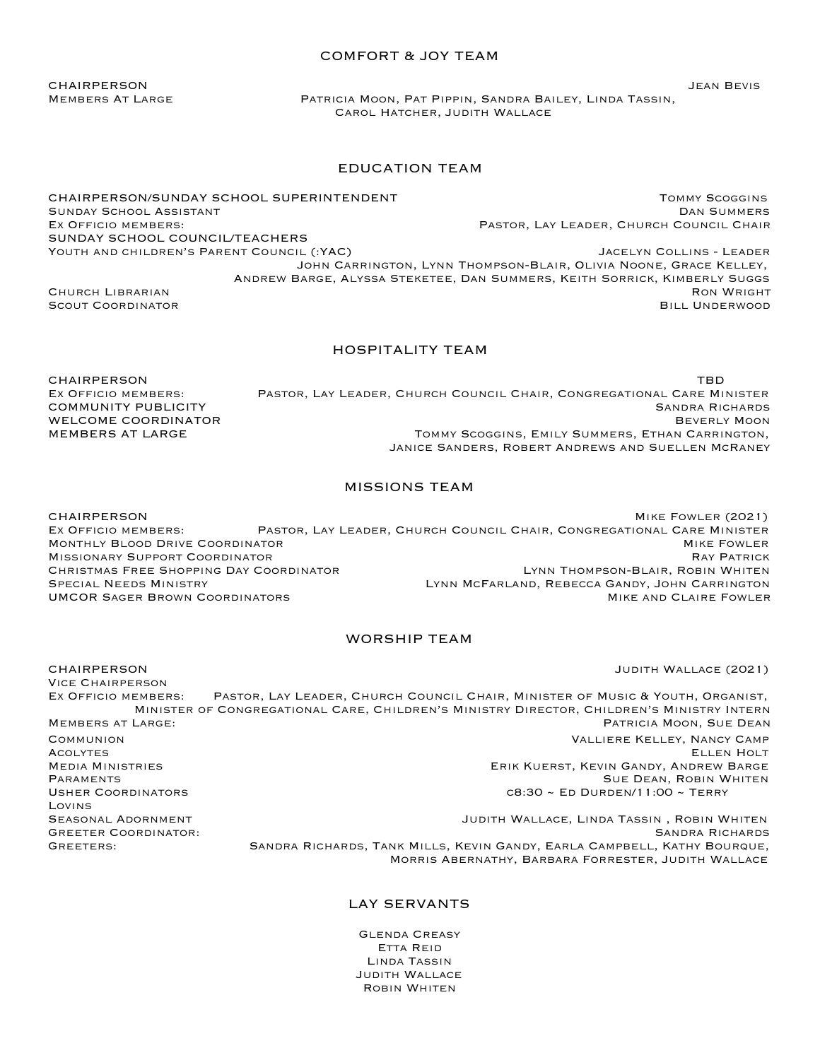#### COMFORT & JOY TEAM

Members At Large Patricia Moon, Pat Pippin, Sandra Bailey, Linda Tassin, Carol Hatcher, Judith Wallace

## EDUCATION TEAM

CHAIRPERSON/SUNDAY SCHOOL SUPERINTENDENT Tommy Scoggins Sunday School Assistant Dan Summers EX OFFICIO MEMBERS: The Mass of the Mass of the Mass of Pastor, Lay Leader, Church Council Chair SUNDAY SCHOOL COUNCIL/TEACHERS

Youth and children's Parent Council (:YAC) Jacelyn Collins - Leader John Carrington, Lynn Thompson-Blair, Olivia Noone, Grace Kelley, Andrew Barge, Alyssa Steketee, Dan Summers, Keith Sorrick, Kimberly Suggs CHURCH LIBRARIAN **RON WRIGHT** CHURCH CHURCH CHURCH CHURCH CHURCH CHURCH CHURCH CHURCH CHURCH CHURCH CHURCH CHURCH CHURCH CHURCH CHURCH CHURCH CHURCH CHURCH CHURCH CHURCH CHURCH CHURCH CHURCH CHURCH CHURCH CHURCH CHURCH CHU SCOUT COORDINATOR SALL UNDERWOOD COORDINATOR COORDINATOR COORDINATOR COORDINATOR

#### HOSPITALITY TEAM

 $CHAIRPERSON$ Ex Officio members: Pastor, Lay Leader, Church Council Chair, Congregational Care Minister **COMMUNITY PUBLICITY** SANDRA RICHARDS WELCOME COORDINATOR **BEVERLY MOON** MEMBERS AT LARGE THE TOMMY SCOGGINS, EMILY SUMMERS, ETHAN CARRINGTON, Janice Sanders, Robert Andrews and Suellen McRaney

Morris Abernathy, Barbara Forrester, Judith Wallace

### MISSIONS TEAM

CHAIRPERSON Mike Fowler (2021) Ex Officio members: Pastor, Lay Leader, Church Council Chair, Congregational Care Minister MONTHLY BLOOD DRIVE COORDINATOR Missionary Support Coordinator Ray Patrick CHRISTMAS FREE SHOPPING DAY COORDINATOR<br>SPECIAL NEEDS MINISTRY LYNN MCFARLAND, REBECCA GANDY, JOHN CARRINGTON LYNN MCFARLAND, REBECCA GANDY, JOHN CARRINGTON UMCOR SAGER BROWN COORDINATORS **MIKE AND CLAIRE FOWLER** 

#### WORSHIP TEAM

CHAIRPERSON Judith Wallace (2021)

Vice Chairperson Ex Officio members: Pastor, Lay Leader, Church Council Chair, Minister of Music & Youth, Organist, Minister of Congregational Care, Children's Ministry Director, Children's Ministry Intern Members at Large: Patricia Moon, Sue Dean Communion Valliere Kelley, Nancy Camp Acolytes Ellen Holt Media Ministries Erik Kuerst, Kevin Gandy, Andrew Barge PARAMENTS SUE DEAN, ROBIN WHITEN<br>
ISHER COORDINATORS SUE SUE DEAN, ROBIN WHITEN<br>
CR:30 ~ ED DIIRDEN/11:00 ~ TERRY  $C8:30 \sim$  ED DURDEN/11:00 ~ TERRY Lovins SEASONAL ADORNMENT **SEASONAL ADORNMENT** SEASONAL ADORNMENT AND A SEASONAL ADORNMENT AND A SEASONAL ADDITH WALLACE, LINDA TASSIN, ROBIN WHITEN GREETER COORDINATOR: SANDRA RICHARDS AND THE SANDRA RICHARDS SANDRA RICHARDS GREETERS: SANDRA RICHARDS, TANK MILLS, KEVIN GANDY, EARLA CAMPBELL, KATHY BOURQUE,

# LAY SERVANTS

Glenda Creasy Etta Reid Linda Tassin Judith Wallace Robin Whiten

CHAIRPERSON Jean Bevis